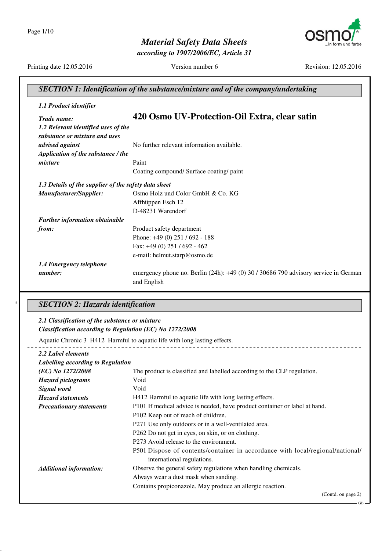

*according to 1907/2006/EC, Article 31*



Printing date 12.05.2016 Version number 6 Revision: 12.05.2016

GB

\_ \_ \_ \_ \_ \_ \_

| Trade name:                                                          | 420 Osmo UV-Protection-Oil Extra, clear satin                                           |
|----------------------------------------------------------------------|-----------------------------------------------------------------------------------------|
| 1.2 Relevant identified uses of the<br>substance or mixture and uses |                                                                                         |
| advised against                                                      | No further relevant information available.                                              |
| Application of the substance / the                                   |                                                                                         |
| mixture                                                              | Paint                                                                                   |
|                                                                      | Coating compound/ Surface coating/ paint                                                |
| 1.3 Details of the supplier of the safety data sheet                 |                                                                                         |
| Manufacturer/Supplier:                                               | Osmo Holz und Color GmbH & Co. KG                                                       |
|                                                                      | Affhüppen Esch 12                                                                       |
|                                                                      | D-48231 Warendorf                                                                       |
| <b>Further information obtainable</b>                                |                                                                                         |
| from:                                                                | Product safety department                                                               |
|                                                                      | Phone: +49 (0) 251 / 692 - 188                                                          |
|                                                                      | Fax: +49 (0) 251 / 692 - 462                                                            |
|                                                                      | e-mail: helmut.starp@osmo.de                                                            |
| 1.4 Emergency telephone                                              |                                                                                         |
| number:                                                              | emergency phone no. Berlin $(24h)$ : $+49(0)$ 30 / 30686 790 advisory service in German |
|                                                                      | and English                                                                             |

#### *2.1 Classification of the substance or mixture Classification according to Regulation (EC) No 1272/2008*

Aquatic Chronic 3 H412 Harmful to aquatic life with long lasting effects.

#### *2.2 Label elements*

| Labelling according to Regulation |                                                                                                              |
|-----------------------------------|--------------------------------------------------------------------------------------------------------------|
| (EC) No 1272/2008                 | The product is classified and labelled according to the CLP regulation.                                      |
| <b>Hazard pictograms</b>          | Void                                                                                                         |
| Signal word                       | Void                                                                                                         |
| <b>Hazard statements</b>          | H412 Harmful to aquatic life with long lasting effects.                                                      |
| <b>Precautionary statements</b>   | P101 If medical advice is needed, have product container or label at hand.                                   |
|                                   | P102 Keep out of reach of children.                                                                          |
|                                   | P271 Use only outdoors or in a well-ventilated area.                                                         |
|                                   | P262 Do not get in eyes, on skin, or on clothing.                                                            |
|                                   | P273 Avoid release to the environment.                                                                       |
|                                   | P501 Dispose of contents/container in accordance with local/regional/national/<br>international regulations. |
| <b>Additional information:</b>    | Observe the general safety regulations when handling chemicals.                                              |
|                                   | Always wear a dust mask when sanding.                                                                        |
|                                   | Contains propiconazole. May produce an allergic reaction.                                                    |
|                                   | (Contd. on page 2)                                                                                           |

--------------------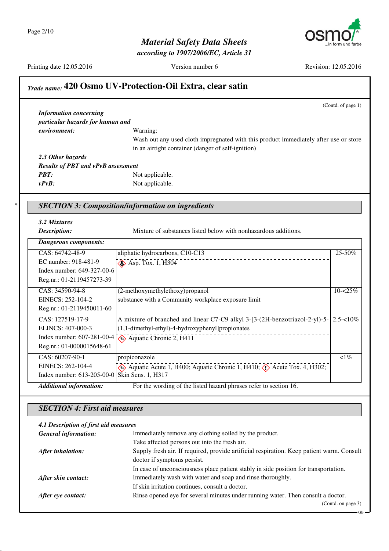Page 2/10

*Material Safety Data Sheets*

*according to 1907/2006/EC, Article 31*



Printing date 12.05.2016 Version number 6 Revision: 12.05.2016

GB

#### *Trade name:* **420 Osmo UV-Protection-Oil Extra, clear satin**

(Contd. of page 1) *Information concerning particular hazards for human and environment:* Warning: Wash out any used cloth impregnated with this product immediately after use or store in an airtight container (danger of self-ignition) *2.3 Other hazards Results of PBT and vPvB assessment PBT:* Not applicable. *vPvB:* Not applicable.

#### \* *SECTION 3: Composition/information on ingredients*

#### *3.2 Mixtures*

*Description:* Mixture of substances listed below with nonhazardous additions.

| <b>Dangerous components:</b>                  |                                                                                                         |              |  |  |
|-----------------------------------------------|---------------------------------------------------------------------------------------------------------|--------------|--|--|
| CAS: 64742-48-9                               | aliphatic hydrocarbons, C10-C13                                                                         | 25-50%       |  |  |
| EC number: 918-481-9                          | $\diamond$ Asp. Tox. 1, H304                                                                            |              |  |  |
| Index number: 649-327-00-6                    |                                                                                                         |              |  |  |
| Reg.nr.: 01-2119457273-39                     |                                                                                                         |              |  |  |
| CAS: 34590-94-8                               | (2-methoxymethylethoxy)propanol                                                                         | $10 - 25\%$  |  |  |
| EINECS: 252-104-2                             | substance with a Community workplace exposure limit                                                     |              |  |  |
| Reg.nr.: 01-2119450011-60                     |                                                                                                         |              |  |  |
| CAS: 127519-17-9                              | A mixture of branched and linear C7-C9 alkyl 3-[3-(2H-benzotriazol-2-yl)-5-                             | $2.5 - 10\%$ |  |  |
| ELINCS: 407-000-3                             | $(1,1$ -dimethyl-ethyl)-4-hydroxyphenyl]propionates                                                     |              |  |  |
|                                               | Index number: $607-281-00-4$ $\sqrt{\frac{2}{2}}$ Aquatic Chronic 2, H411                               |              |  |  |
| Reg.nr.: 01-0000015648-61                     |                                                                                                         |              |  |  |
| CAS: 60207-90-1                               | propiconazole                                                                                           | $\leq 1\%$   |  |  |
| EINECS: 262-104-4                             | $\leftrightarrow$ Aquatic Acute 1, H400; Aquatic Chronic 1, H410; $\leftrightarrow$ Acute Tox. 4, H302; |              |  |  |
| Index number: 613-205-00-0 Skin Sens. 1, H317 |                                                                                                         |              |  |  |
| <b>Additional information:</b>                | For the wording of the listed hazard phrases refer to section 16.                                       |              |  |  |

#### *SECTION 4: First aid measures*

#### *4.1 Description of first aid measures* **General information:** Immediately remove any clothing soiled by the product. Take affected persons out into the fresh air. *After inhalation:* Supply fresh air. If required, provide artificial respiration. Keep patient warm. Consult doctor if symptoms persist. In case of unconsciousness place patient stably in side position for transportation. *After skin contact:* Immediately wash with water and soap and rinse thoroughly. If skin irritation continues, consult a doctor. *After eye contact:* Rinse opened eye for several minutes under running water. Then consult a doctor. (Contd. on page 3)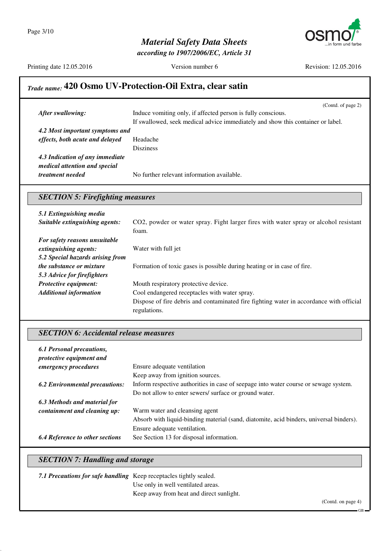

*according to 1907/2006/EC, Article 31*

Printing date 12.05.2016 Version number 6 Revision: 12.05.2016

## *Trade name:* **420 Osmo UV-Protection-Oil Extra, clear satin**

|                                 | (Contd. of page 2)                                                              |  |  |
|---------------------------------|---------------------------------------------------------------------------------|--|--|
| After swallowing:               | Induce vomiting only, if affected person is fully conscious.                    |  |  |
|                                 | If swallowed, seek medical advice immediately and show this container or label. |  |  |
| 4.2 Most important symptoms and |                                                                                 |  |  |
| effects, both acute and delayed | Headache                                                                        |  |  |
|                                 | <b>Disziness</b>                                                                |  |  |
| 4.3 Indication of any immediate |                                                                                 |  |  |
| medical attention and special   |                                                                                 |  |  |
| <i>treatment needed</i>         | No further relevant information available.                                      |  |  |
|                                 |                                                                                 |  |  |

#### *SECTION 5: Firefighting measures*

| 5.1 Extinguishing media          |                                                                                         |  |
|----------------------------------|-----------------------------------------------------------------------------------------|--|
| Suitable extinguishing agents:   | CO2, powder or water spray. Fight larger fires with water spray or alcohol resistant    |  |
|                                  | foam.                                                                                   |  |
| For safety reasons unsuitable    |                                                                                         |  |
| extinguishing agents:            | Water with full jet                                                                     |  |
| 5.2 Special hazards arising from |                                                                                         |  |
| <i>the substance or mixture</i>  | Formation of toxic gases is possible during heating or in case of fire.                 |  |
| 5.3 Advice for firefighters      |                                                                                         |  |
| <b>Protective equipment:</b>     | Mouth respiratory protective device.                                                    |  |
| <b>Additional information</b>    | Cool endangered receptacles with water spray.                                           |  |
|                                  | Dispose of fire debris and contaminated fire fighting water in accordance with official |  |
|                                  | regulations.                                                                            |  |

#### *SECTION 6: Accidental release measures*

| 6.1 Personal precautions,<br>protective equipment and |                                                                                         |
|-------------------------------------------------------|-----------------------------------------------------------------------------------------|
| emergency procedures                                  | Ensure adequate ventilation                                                             |
|                                                       | Keep away from ignition sources.                                                        |
| <b>6.2 Environmental precautions:</b>                 | Inform respective authorities in case of seepage into water course or sewage system.    |
|                                                       | Do not allow to enter sewers/ surface or ground water.                                  |
| 6.3 Methods and material for                          |                                                                                         |
| containment and cleaning up:                          | Warm water and cleansing agent                                                          |
|                                                       | Absorb with liquid-binding material (sand, diatomite, acid binders, universal binders). |
|                                                       | Ensure adequate ventilation.                                                            |
| <b>6.4 Reference to other sections</b>                | See Section 13 for disposal information.                                                |

## *SECTION 7: Handling and storage*

| 7.1 Precautions for safe handling Keep receptacles tightly sealed. |                                          |                    |
|--------------------------------------------------------------------|------------------------------------------|--------------------|
|                                                                    | Use only in well ventilated areas.       |                    |
|                                                                    | Keep away from heat and direct sunlight. |                    |
|                                                                    |                                          | (Contd. on page 4) |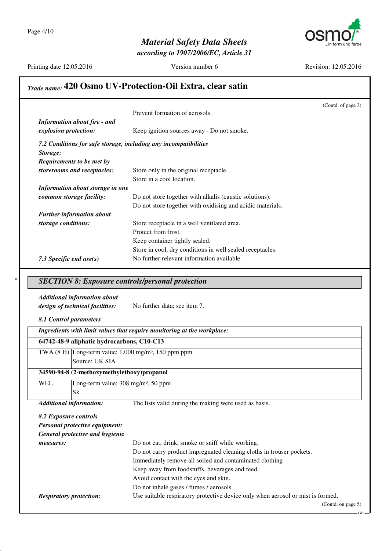

*according to 1907/2006/EC, Article 31*

Printing date 12.05.2016 Version number 6 Revision: 12.05.2016

#### *Trade name:* **420 Osmo UV-Protection-Oil Extra, clear satin**

|                                     |                                                                  | (Contd. of page 3) |
|-------------------------------------|------------------------------------------------------------------|--------------------|
|                                     | Prevent formation of aerosols.                                   |                    |
| <b>Information about fire - and</b> |                                                                  |                    |
| explosion protection:               | Keep ignition sources away - Do not smoke.                       |                    |
|                                     | 7.2 Conditions for safe storage, including any incompatibilities |                    |
| Storage:                            |                                                                  |                    |
| Requirements to be met by           |                                                                  |                    |
| storerooms and receptacles:         | Store only in the original receptacle.                           |                    |
|                                     | Store in a cool location.                                        |                    |
| Information about storage in one    |                                                                  |                    |
| common storage facility:            | Do not store together with alkalis (caustic solutions).          |                    |
|                                     | Do not store together with oxidising and acidic materials.       |                    |
| <b>Further information about</b>    |                                                                  |                    |
| storage conditions:                 | Store receptacle in a well ventilated area.                      |                    |
|                                     | Protect from frost.                                              |                    |
|                                     | Keep container tightly sealed.                                   |                    |
|                                     | Store in cool, dry conditions in well sealed receptacles.        |                    |
| 7.3 Specific end $use(s)$           | No further relevant information available.                       |                    |

#### \* *SECTION 8: Exposure controls/personal protection*

#### *Additional information about*

*design of technical facilities:* No further data; see item 7.

*8.1 Control parameters*

*Ingredients with limit values that require monitoring at the workplace:*

| 64742-48-9 aliphatic hydrocarbons, C10-C13 |                                                                    |  |  |  |
|--------------------------------------------|--------------------------------------------------------------------|--|--|--|
|                                            | TWA $(8 H)$ Long-term value: 1.000 mg/m <sup>3</sup> , 150 ppm ppm |  |  |  |
|                                            | Source: UK SIA                                                     |  |  |  |

### **34590-94-8 (2-methoxymethylethoxy)propanol**

WEL Long-term value: 308 mg/m<sup>3</sup>, 50 ppm Sk

*Additional information:* The lists valid during the making were used as basis.

*8.2 Exposure controls Personal protective equipment: General protective and hygienic measures:* Do not eat, drink, smoke or sniff while working. Do not carry product impregnated cleaning cloths in trouser pockets. Immediately remove all soiled and contaminated clothing Keep away from foodstuffs, beverages and feed. Avoid contact with the eyes and skin. Do not inhale gases / fumes / aerosols. *Respiratory protection:* Use suitable respiratory protective device only when aerosol or mist is formed. (Contd. on page 5)

GB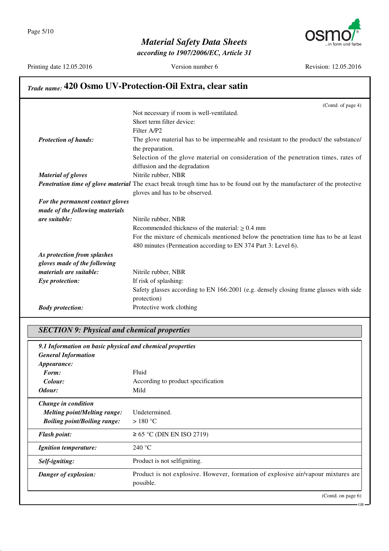

*according to 1907/2006/EC, Article 31*

Printing date 12.05.2016 Version number 6 Revision: 12.05.2016

GB

# *Trade name:* **420 Osmo UV-Protection-Oil Extra, clear satin**

|                                  | (Contd. of page 4)                                                                                                       |
|----------------------------------|--------------------------------------------------------------------------------------------------------------------------|
|                                  | Not necessary if room is well-ventilated.                                                                                |
|                                  | Short term filter device:                                                                                                |
|                                  | Filter A/P2                                                                                                              |
| <b>Protection of hands:</b>      | The glove material has to be impermeable and resistant to the product/ the substance/                                    |
|                                  | the preparation.                                                                                                         |
|                                  | Selection of the glove material on consideration of the penetration times, rates of                                      |
|                                  | diffusion and the degradation                                                                                            |
| <b>Material of gloves</b>        | Nitrile rubber, NBR                                                                                                      |
|                                  | Penetration time of glove material The exact break trough time has to be found out by the manufacturer of the protective |
|                                  | gloves and has to be observed.                                                                                           |
| For the permanent contact gloves |                                                                                                                          |
| made of the following materials  |                                                                                                                          |
| are suitable:                    | Nitrile rubber, NBR                                                                                                      |
|                                  | Recommended thickness of the material: $\geq 0.4$ mm                                                                     |
|                                  | For the mixture of chemicals mentioned below the penetration time has to be at least                                     |
|                                  | 480 minutes (Permeation according to EN 374 Part 3: Level 6).                                                            |
| As protection from splashes      |                                                                                                                          |
| gloves made of the following     |                                                                                                                          |
| materials are suitable:          | Nitrile rubber, NBR                                                                                                      |
| Eye protection:                  | If risk of splashing:                                                                                                    |
|                                  | Safety glasses according to EN 166:2001 (e.g. densely closing frame glasses with side<br>protection)                     |
| <b>Body protection:</b>          | Protective work clothing                                                                                                 |
|                                  |                                                                                                                          |

## *SECTION 9: Physical and chemical properties 9.1 Information on basic physical and chemical properties General Information Appearance:* Form: Fluid *Colour:* According to product specification *Odour:* Mild *Change in condition Melting point/Melting range:* Undetermined. *Boiling point/Boiling range:* > 180 °C *Flash point:*  $\geq 65^{\circ}$ C (DIN EN ISO 2719) *Ignition temperature:* 240 °C **Self-igniting:** Product is not selfigniting. **Danger of explosion:** Product is not explosive. However, formation of explosive air/vapour mixtures are possible. (Contd. on page 6)

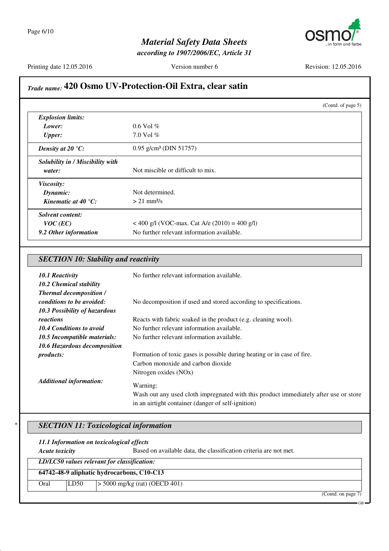

*according to 1907/2006/EC, Article 31*

Printing date 12.05.2016 Version number 6 Revision: 12.05.2016

## *Trade name:* **420 Osmo UV-Protection-Oil Extra, clear satin**

|                                  |                                                 | (Contd. of page 5) |
|----------------------------------|-------------------------------------------------|--------------------|
| <b>Explosion limits:</b>         |                                                 |                    |
| Lower:                           | $0.6$ Vol $%$                                   |                    |
| <b>Upper:</b>                    | 7.0 Vol $%$                                     |                    |
| Density at 20 $\mathrm{C}$ :     | $0.95$ g/cm <sup>3</sup> (DIN 51757)            |                    |
| Solubility in / Miscibility with |                                                 |                    |
| water:                           | Not miscible or difficult to mix.               |                    |
| Viscosity:                       |                                                 |                    |
| Dynamic:                         | Not determined.                                 |                    |
| Kinematic at 40 $^{\circ}$ C:    | $> 21$ mm <sup>2</sup> /s                       |                    |
| Solvent content:                 |                                                 |                    |
| $VOC$ (EC)                       | < 400 g/l (VOC-max. Cat A/e $(2010) = 400$ g/l) |                    |
| 9.2 Other information            | No further relevant information available.      |                    |

| <b>SECTION 10: Stability and reactivity</b> |  |  |  |
|---------------------------------------------|--|--|--|
|---------------------------------------------|--|--|--|

| <b>10.1 Reactivity</b><br>10.2 Chemical stability           | No further relevant information available.                                           |
|-------------------------------------------------------------|--------------------------------------------------------------------------------------|
| <b>Thermal decomposition /</b><br>conditions to be avoided: | No decomposition if used and stored according to specifications.                     |
| 10.3 Possibility of hazardous                               |                                                                                      |
| reactions                                                   | Reacts with fabric soaked in the product (e.g. cleaning wool).                       |
| <b>10.4 Conditions to avoid</b>                             | No further relevant information available.                                           |
| 10.5 Incompatible materials:                                | No further relevant information available.                                           |
| 10.6 Hazardous decomposition                                |                                                                                      |
| <i>products:</i>                                            | Formation of toxic gases is possible during heating or in case of fire.              |
|                                                             | Carbon monoxide and carbon dioxide                                                   |
|                                                             | Nitrogen oxides (NOx)                                                                |
| <b>Additional information:</b>                              | Warning:                                                                             |
|                                                             | Wash out any used cloth impregnated with this product immediately after use or store |
|                                                             | in an airtight container (danger of self-ignition)                                   |

#### \* *SECTION 11: Toxicological information*

| 11.1 Information on toxicological effects                                                  |      |                                 |                    |
|--------------------------------------------------------------------------------------------|------|---------------------------------|--------------------|
| <b>Acute toxicity</b><br>Based on available data, the classification criteria are not met. |      |                                 |                    |
| LD/LC50 values relevant for classification:                                                |      |                                 |                    |
| 64742-48-9 aliphatic hydrocarbons, C10-C13                                                 |      |                                 |                    |
| Oral                                                                                       | LD50 | $>$ 5000 mg/kg (rat) (OECD 401) |                    |
|                                                                                            |      |                                 | (Contd. on page 7) |

GB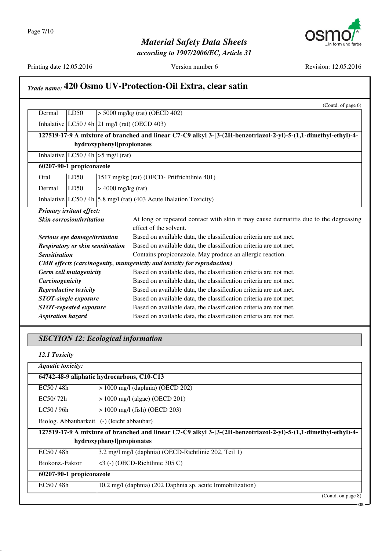*according to 1907/2006/EC, Article 31*



GB

# *Trade name:* **420 Osmo UV-Protection-Oil Extra, clear satin**

|                      |                                                |                                       | (Contd. of page 6)                                                                                             |
|----------------------|------------------------------------------------|---------------------------------------|----------------------------------------------------------------------------------------------------------------|
| Dermal               | LD50                                           |                                       | $>$ 5000 mg/kg (rat) (OECD 402)                                                                                |
|                      | Inhalative $ LC50/4h 21$ mg/l (rat) (OECD 403) |                                       |                                                                                                                |
|                      |                                                |                                       | 127519-17-9 A mixture of branched and linear C7-C9 alkyl 3-[3-(2H-benzotriazol-2-yl)-5-(1,1-dimethyl-ethyl)-4- |
|                      |                                                | hydroxyphenyl]propionates             |                                                                                                                |
|                      |                                                | Inhalative $ LC50/4h  > 5$ mg/l (rat) |                                                                                                                |
|                      | 60207-90-1 propiconazole                       |                                       |                                                                                                                |
| Oral                 | LD50                                           |                                       | 1517 mg/kg (rat) (OECD-Prüfrichtlinie 401)                                                                     |
| Dermal               | LD50                                           | $> 4000$ mg/kg (rat)                  |                                                                                                                |
|                      |                                                |                                       | Inhalative LC50 / 4h 5.8 mg/l (rat) (403 Acute Ihalation Toxicity)                                             |
|                      | Primary irritant effect:                       |                                       |                                                                                                                |
|                      | <b>Skin corrosion/irritation</b>               |                                       | At long or repeated contact with skin it may cause dermatitis due to the degreasing                            |
|                      |                                                |                                       | effect of the solvent.                                                                                         |
|                      | Serious eye damage/irritation                  |                                       | Based on available data, the classification criteria are not met.                                              |
|                      |                                                | Respiratory or skin sensitisation     | Based on available data, the classification criteria are not met.                                              |
| <b>Sensitisation</b> |                                                |                                       | Contains propiconazole. May produce an allergic reaction.                                                      |
|                      |                                                |                                       | <b>CMR</b> effects (carcinogenity, mutagenicity and toxicity for reproduction)                                 |
|                      | <b>Germ cell mutagenicity</b>                  |                                       | Based on available data, the classification criteria are not met.                                              |
|                      | Carcinogenicity                                |                                       | Based on available data, the classification criteria are not met.                                              |
|                      | Reproductive toxicity                          |                                       | Based on available data, the classification criteria are not met.                                              |
|                      | <b>STOT-single exposure</b>                    |                                       | Based on available data, the classification criteria are not met.                                              |
|                      | <b>STOT-repeated exposure</b>                  |                                       | Based on available data, the classification criteria are not met.                                              |
|                      | <b>Aspiration hazard</b>                       |                                       | Based on available data, the classification criteria are not met.                                              |
|                      | <b>SECTION 12: Ecological information</b>      |                                       |                                                                                                                |
|                      |                                                |                                       |                                                                                                                |
|                      | 12.1 Toxicity                                  |                                       |                                                                                                                |
|                      | <b>Aquatic toxicity:</b>                       |                                       |                                                                                                                |
|                      | 64742-48-9 aliphatic hydrocarbons, C10-C13     |                                       |                                                                                                                |
|                      | $> 1000$ mg/l (daphnia) (OECD 202)<br>EC50/48h |                                       |                                                                                                                |
|                      | $> 1000$ mg/l (algae) (OECD 201)<br>EC50/72h   |                                       |                                                                                                                |

LC50 / 96h  $\vert$  > 1000 mg/l (fish) (OECD 203) Biolog. Abbaubarkeit (-) (leicht abbaubar)

| 127519-17-9 A mixture of branched and linear C7-C9 alkyl 3-[3-(2H-benzotriazol-2-yl)-5-(1,1-dimethyl-ethyl)-4- |                                                            |  |
|----------------------------------------------------------------------------------------------------------------|------------------------------------------------------------|--|
| hydroxyphenyl]propionates                                                                                      |                                                            |  |
| EC50/48h                                                                                                       | 3.2 mg/l mg/l (daphnia) (OECD-Richtlinie 202, Teil 1)      |  |
| Biokonz.-Faktor                                                                                                | $\leq$ 3 (-) (OECD-Richtlinie 305 C)                       |  |
| 60207-90-1 propiconazole                                                                                       |                                                            |  |
| $EC$ 50 / 48h                                                                                                  | 10.2 mg/l (daphnia) (202 Daphnia sp. acute Immobilization) |  |
|                                                                                                                | (Cond. on page 8)                                          |  |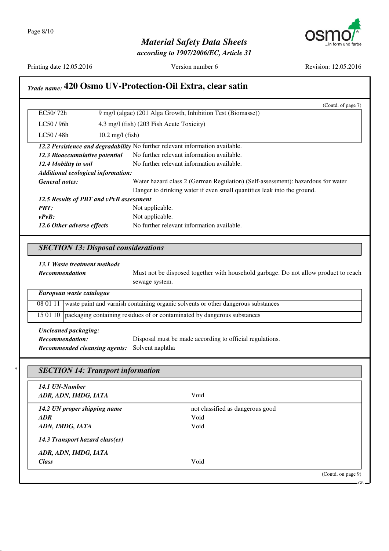

*according to 1907/2006/EC, Article 31*



Printing date 12.05.2016 Version number 6 Revision: 12.05.2016

## *Trade name:* **420 Osmo UV-Protection-Oil Extra, clear satin**

|                                                                                                          | (Contd. of page 7)                                                            |  |
|----------------------------------------------------------------------------------------------------------|-------------------------------------------------------------------------------|--|
| EC50/72h                                                                                                 | 9 mg/l (algae) (201 Alga Growth, Inhibition Test (Biomasse))                  |  |
| LC50/96h                                                                                                 | 4.3 mg/l (fish) (203 Fish Acute Toxicity)                                     |  |
| LC50/48h                                                                                                 | $10.2 \text{ mg/l}$ (fish)                                                    |  |
|                                                                                                          | 12.2 Persistence and degradability No further relevant information available. |  |
| 12.3 Bioaccumulative potential                                                                           | No further relevant information available.                                    |  |
| 12.4 Mobility in soil                                                                                    | No further relevant information available.                                    |  |
| Additional ecological information:                                                                       |                                                                               |  |
| <b>General notes:</b><br>Water hazard class 2 (German Regulation) (Self-assessment): hazardous for water |                                                                               |  |
|                                                                                                          | Danger to drinking water if even small quantities leak into the ground.       |  |
| 12.5 Results of PBT and vPvB assessment                                                                  |                                                                               |  |
| <b>PRT:</b>                                                                                              | Not applicable.                                                               |  |
| $v P v B$ :                                                                                              | Not applicable.                                                               |  |
| 12.6 Other adverse effects                                                                               | No further relevant information available.                                    |  |

#### *SECTION 13: Disposal considerations*

#### *13.1 Waste treatment methods*

**Recommendation** Must not be disposed together with household garbage. Do not allow product to reach sewage system.

| European waste catalogue |                                                                                            |  |
|--------------------------|--------------------------------------------------------------------------------------------|--|
|                          | 08 01 11 waste paint and varnish containing organic solvents or other dangerous substances |  |
|                          | 15 01 10   packaging containing residues of or contaminated by dangerous substances        |  |
|                          |                                                                                            |  |

*Uncleaned packaging: Recommendation:* Disposal must be made according to official regulations. *Recommended cleansing agents:* Solvent naphtha

| 14.1 UN-Number                  |                                  |  |
|---------------------------------|----------------------------------|--|
| ADR, ADN, IMDG, IATA            | Void                             |  |
| 14.2 UN proper shipping name    | not classified as dangerous good |  |
| <b>ADR</b>                      | Void                             |  |
| ADN, IMDG, IATA                 | Void                             |  |
| 14.3 Transport hazard class(es) |                                  |  |
| ADR, ADN, IMDG, IATA            |                                  |  |
| <b>Class</b>                    | Void                             |  |

GB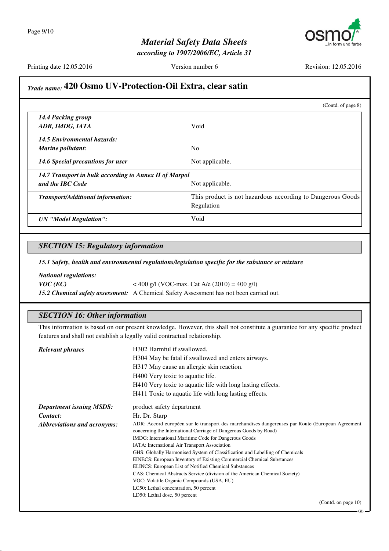

*according to 1907/2006/EC, Article 31*

Printing date 12.05.2016 Version number 6 Revision: 12.05.2016

### *Trade name:* **420 Osmo UV-Protection-Oil Extra, clear satin**

|                                                        | (Contd. of page $8$ )                                                    |
|--------------------------------------------------------|--------------------------------------------------------------------------|
| 14.4 Packing group<br>ADR, IMDG, IATA                  | Void                                                                     |
| 14.5 Environmental hazards:                            |                                                                          |
| Marine pollutant:                                      | N <sub>0</sub>                                                           |
| 14.6 Special precautions for user                      | Not applicable.                                                          |
| 14.7 Transport in bulk according to Annex II of Marpol |                                                                          |
| and the IBC Code                                       | Not applicable.                                                          |
| Transport/Additional information:                      | This product is not hazardous according to Dangerous Goods<br>Regulation |
| <b>UN</b> "Model Regulation":                          | Void                                                                     |

#### *SECTION 15: Regulatory information*

*15.1 Safety, health and environmental regulations/legislation specific for the substance or mixture*

*National regulations:*

*VOC* (*EC*)  $<$  400 g/l (VOC-max. Cat A/e (2010) = 400 g/l) *15.2 Chemical safety assessment:* A Chemical Safety Assessment has not been carried out.

#### *SECTION 16: Other information*

This information is based on our present knowledge. However, this shall not constitute a guarantee for any specific product features and shall not establish a legally valid contractual relationship.

| <b>Relevant phrases</b>         | H302 Harmful if swallowed.                                                                                                                                            |  |
|---------------------------------|-----------------------------------------------------------------------------------------------------------------------------------------------------------------------|--|
|                                 | H304 May be fatal if swallowed and enters airways.                                                                                                                    |  |
|                                 | H317 May cause an allergic skin reaction.                                                                                                                             |  |
|                                 | H400 Very toxic to aquatic life.                                                                                                                                      |  |
|                                 | H410 Very toxic to aquatic life with long lasting effects.                                                                                                            |  |
|                                 | H411 Toxic to aquatic life with long lasting effects.                                                                                                                 |  |
| <b>Department issuing MSDS:</b> | product safety department                                                                                                                                             |  |
| Contact:                        | Hr. Dr. Starp                                                                                                                                                         |  |
| Abbreviations and acronyms:     | ADR: Accord européen sur le transport des marchandises dangereuses par Route (European Agreement<br>concerning the International Carriage of Dangerous Goods by Road) |  |
|                                 | IMDG: International Maritime Code for Dangerous Goods                                                                                                                 |  |
|                                 | IATA: International Air Transport Association                                                                                                                         |  |
|                                 | GHS: Globally Harmonised System of Classification and Labelling of Chemicals                                                                                          |  |
|                                 | EINECS: European Inventory of Existing Commercial Chemical Substances                                                                                                 |  |
|                                 | ELINCS: European List of Notified Chemical Substances                                                                                                                 |  |
|                                 | CAS: Chemical Abstracts Service (division of the American Chemical Society)                                                                                           |  |
|                                 | VOC: Volatile Organic Compounds (USA, EU)                                                                                                                             |  |
|                                 | LC50: Lethal concentration, 50 percent                                                                                                                                |  |
|                                 | LD50: Lethal dose, 50 percent                                                                                                                                         |  |
|                                 | (Contd. on page $10$ )                                                                                                                                                |  |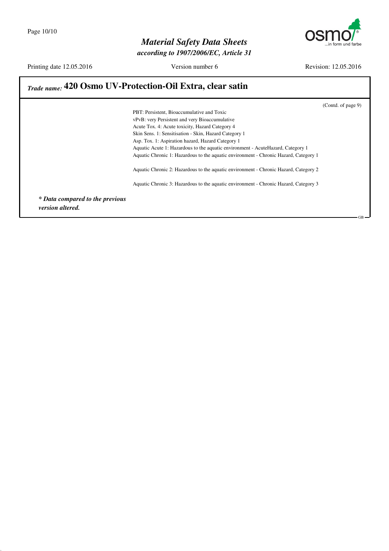

*according to 1907/2006/EC, Article 31*

Printing date 12.05.2016 Version number 6 Revision: 12.05.2016

## *Trade name:* **420 Osmo UV-Protection-Oil Extra, clear satin**

(Contd. of page 9)

GB

PBT: Persistent, Bioaccumulative and Toxic vPvB: very Persistent and very Bioaccumulative Acute Tox. 4: Acute toxicity, Hazard Category 4 Skin Sens. 1: Sensitisation - Skin, Hazard Category 1 Asp. Tox. 1: Aspiration hazard, Hazard Category 1 Aquatic Acute 1: Hazardous to the aquatic environment - AcuteHazard, Category 1 Aquatic Chronic 1: Hazardous to the aquatic environment - Chronic Hazard, Category 1 Aquatic Chronic 2: Hazardous to the aquatic environment - Chronic Hazard, Category 2 Aquatic Chronic 3: Hazardous to the aquatic environment - Chronic Hazard, Category 3

*\* Data compared to the previous version altered.*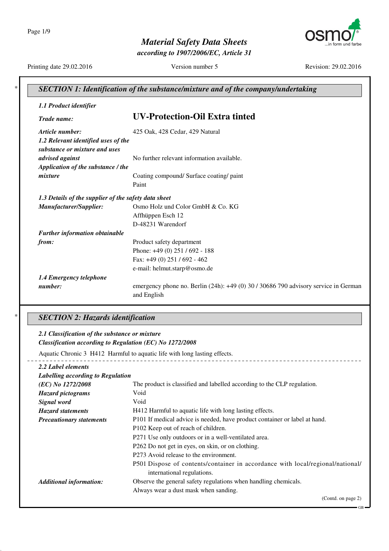Page 1/9



*according to 1907/2006/EC, Article 31*



Printing date 29.02.2016 Version number 5 Revision: 29.02.2016

| 1.1 Product identifier                                               |                                                                                     |
|----------------------------------------------------------------------|-------------------------------------------------------------------------------------|
| Trade name:                                                          | <b>UV-Protection-Oil Extra tinted</b>                                               |
| Article number:                                                      | 425 Oak, 428 Cedar, 429 Natural                                                     |
| 1.2 Relevant identified uses of the<br>substance or mixture and uses |                                                                                     |
| advised against                                                      | No further relevant information available.                                          |
| Application of the substance / the                                   |                                                                                     |
| mixture                                                              | Coating compound/ Surface coating/ paint                                            |
|                                                                      | Paint                                                                               |
| 1.3 Details of the supplier of the safety data sheet                 |                                                                                     |
| Manufacturer/Supplier:                                               | Osmo Holz und Color GmbH & Co. KG                                                   |
|                                                                      | Affhüppen Esch 12                                                                   |
|                                                                      | D-48231 Warendorf                                                                   |
| Further information obtainable                                       |                                                                                     |
| from:                                                                | Product safety department                                                           |
|                                                                      | Phone: +49 (0) 251 / 692 - 188                                                      |
|                                                                      | Fax: $+49(0)$ 251 / 692 - 462                                                       |
|                                                                      | e-mail: helmut.starp@osmo.de                                                        |
| 1.4 Emergency telephone                                              |                                                                                     |
| number:                                                              | emergency phone no. Berlin (24h): +49 (0) 30 / 30686 790 advisory service in German |

#### \* *SECTION 2: Hazards identification*

## *2.1 Classification of the substance or mixture*

*Classification according to Regulation (EC) No 1272/2008*

Aquatic Chronic 3 H412 Harmful to aquatic life with long lasting effects.

*2.2 Label elements*

| Labelling according to Regulation |                                                                                                              |  |
|-----------------------------------|--------------------------------------------------------------------------------------------------------------|--|
| (EC) No 1272/2008                 | The product is classified and labelled according to the CLP regulation.                                      |  |
| <b>Hazard pictograms</b>          | Void                                                                                                         |  |
| Signal word                       | Void                                                                                                         |  |
| <b>Hazard statements</b>          | H412 Harmful to aquatic life with long lasting effects.                                                      |  |
| <b>Precautionary statements</b>   | P101 If medical advice is needed, have product container or label at hand.                                   |  |
|                                   | P102 Keep out of reach of children.                                                                          |  |
|                                   | P271 Use only outdoors or in a well-ventilated area.                                                         |  |
|                                   | P262 Do not get in eyes, on skin, or on clothing.                                                            |  |
|                                   | P273 Avoid release to the environment.                                                                       |  |
|                                   | P501 Dispose of contents/container in accordance with local/regional/national/<br>international regulations. |  |
| <b>Additional information:</b>    | Observe the general safety regulations when handling chemicals.                                              |  |
|                                   | Always wear a dust mask when sanding.                                                                        |  |
|                                   | (Contd. on page 2)                                                                                           |  |

----------------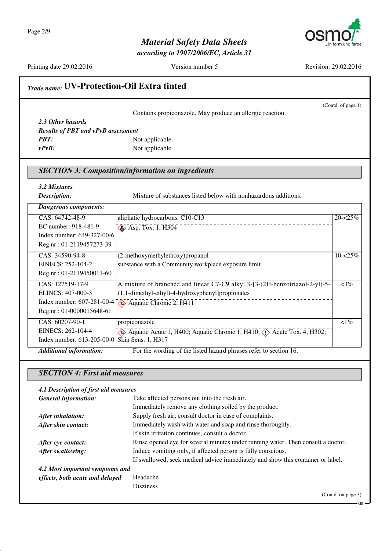

*according to 1907/2006/EC, Article 31*

Printing date 29.02.2016 Version number 5 Revision: 29.02.2016

(Contd. of page 1)

# *Trade name:* **UV-Protection-Oil Extra tinted**

Contains propiconazole. May produce an allergic reaction.

| <b>Results of PBT and vPvB assessment</b> |
|-------------------------------------------|
| Not applicable.                           |
| Not applicable.                           |
|                                           |

#### *SECTION 3: Composition/information on ingredients*

| 3.2 Mixtures<br>Description:                  | Mixture of substances listed below with nonhazardous additions.                             |             |
|-----------------------------------------------|---------------------------------------------------------------------------------------------|-------------|
| Dangerous components:                         |                                                                                             |             |
| CAS: 64742-48-9                               | aliphatic hydrocarbons, C10-C13                                                             | $20 - 25\%$ |
| EC number: 918-481-9                          | $\diamond$ Asp. Tox. 1, H304                                                                |             |
| Index number: 649-327-00-6                    |                                                                                             |             |
| Reg.nr.: 01-2119457273-39                     |                                                                                             |             |
| CAS: 34590-94-8                               | (2-methoxymethylethoxy) propanol                                                            | $10 - 25%$  |
| EINECS: 252-104-2                             | substance with a Community workplace exposure limit                                         |             |
| Reg.nr.: 01-2119450011-60                     |                                                                                             |             |
| CAS: 127519-17-9                              | A mixture of branched and linear C7-C9 alkyl 3-[3-(2H-benzotriazol-2-yl)-5-                 | $<3\%$      |
| ELINCS: 407-000-3                             | (1,1-dimethyl-ethyl)-4-hydroxyphenyl]propionates                                            |             |
| Index number: 607-281-00-4                    | $\leftrightarrow$ Aquatic Chronic 2, H411                                                   |             |
| Reg.nr.: 01-0000015648-61                     |                                                                                             |             |
| CAS: 60207-90-1                               | propiconazole                                                                               | $\leq 1\%$  |
| EINECS: 262-104-4                             | Aquatic Acute 1, H400; Aquatic Chronic 1, H410; $\langle \cdot \rangle$ Acute Tox. 4, H302; |             |
| Index number: 613-205-00-0 Skin Sens. 1, H317 |                                                                                             |             |
| <b>Additional information:</b>                | For the wording of the listed hazard phrases refer to section 16.                           |             |

### *SECTION 4: First aid measures*

| 4.1 Description of first aid measures |                                                                                  |
|---------------------------------------|----------------------------------------------------------------------------------|
| <b>General information:</b>           | Take affected persons out into the fresh air.                                    |
|                                       | Immediately remove any clothing soiled by the product.                           |
| After inhalation:                     | Supply fresh air; consult doctor in case of complaints.                          |
| After skin contact:                   | Immediately wash with water and soap and rinse thoroughly.                       |
|                                       | If skin irritation continues, consult a doctor.                                  |
| After eye contact:                    | Rinse opened eye for several minutes under running water. Then consult a doctor. |
| After swallowing:                     | Induce vomiting only, if affected person is fully conscious.                     |
|                                       | If swallowed, seek medical advice immediately and show this container or label.  |
| 4.2 Most important symptoms and       |                                                                                  |
| effects, both acute and delayed       | Headache                                                                         |
|                                       | <b>Disziness</b>                                                                 |
|                                       | (Contd. on page 3)                                                               |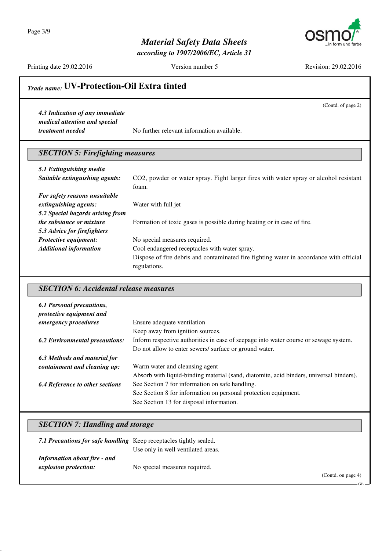Page 3/9



*according to 1907/2006/EC, Article 31*



Printing date 29.02.2016 Version number 5 Revision: 29.02.2016

(Contd. of page 2)

## *Trade name:* **UV-Protection-Oil Extra tinted**

*4.3 Indication of any immediate medical attention and special*

*treatment needed* No further relevant information available.

### *SECTION 5: Firefighting measures*

| 5.1 Extinguishing media          |                                                                                         |
|----------------------------------|-----------------------------------------------------------------------------------------|
| Suitable extinguishing agents:   | CO2, powder or water spray. Fight larger fires with water spray or alcohol resistant    |
|                                  | foam.                                                                                   |
| For safety reasons unsuitable    |                                                                                         |
| extinguishing agents:            | Water with full jet                                                                     |
| 5.2 Special hazards arising from |                                                                                         |
| <i>the substance or mixture</i>  | Formation of toxic gases is possible during heating or in case of fire.                 |
| 5.3 Advice for firefighters      |                                                                                         |
| <b>Protective equipment:</b>     | No special measures required.                                                           |
| <b>Additional information</b>    | Cool endangered receptacles with water spray.                                           |
|                                  | Dispose of fire debris and contaminated fire fighting water in accordance with official |
|                                  | regulations.                                                                            |

#### *SECTION 6: Accidental release measures*

| 6.1 Personal precautions,<br>protective equipment and |                                                                                         |
|-------------------------------------------------------|-----------------------------------------------------------------------------------------|
| emergency procedures                                  | Ensure adequate ventilation                                                             |
|                                                       | Keep away from ignition sources.                                                        |
| <b>6.2 Environmental precautions:</b>                 | Inform respective authorities in case of seepage into water course or sewage system.    |
|                                                       | Do not allow to enter sewers/ surface or ground water.                                  |
| 6.3 Methods and material for                          |                                                                                         |
| containment and cleaning up:                          | Warm water and cleansing agent                                                          |
|                                                       | Absorb with liquid-binding material (sand, diatomite, acid binders, universal binders). |
| <b>6.4 Reference to other sections</b>                | See Section 7 for information on safe handling.                                         |
|                                                       | See Section 8 for information on personal protection equipment.                         |
|                                                       | See Section 13 for disposal information.                                                |

#### *SECTION 7: Handling and storage*

| 7.1 Precautions for safe handling Keep receptacles tightly sealed. | Use only in well ventilated areas. |                    |
|--------------------------------------------------------------------|------------------------------------|--------------------|
| <b>Information about fire - and</b><br>explosion protection:       | No special measures required.      | (Contd. on page 4) |

GB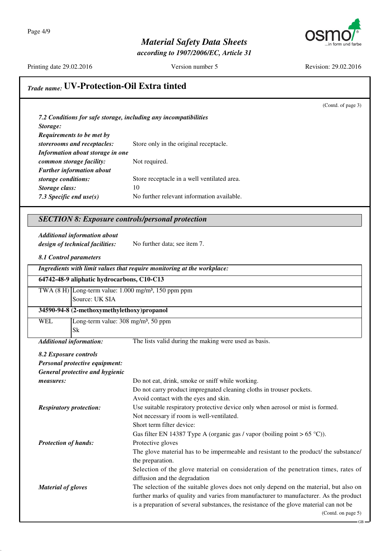

*according to 1907/2006/EC, Article 31*

Printing date 29.02.2016 Version number 5 Revision: 29.02.2016

(Contd. of page 3)

GB

# *Trade name:* **UV-Protection-Oil Extra tinted**

| 7.2 Conditions for safe storage, including any incompatibilities |                                             |
|------------------------------------------------------------------|---------------------------------------------|
| Storage:                                                         |                                             |
| <b>Requirements to be met by</b>                                 |                                             |
| storerooms and receptacles:                                      | Store only in the original receptacle.      |
| Information about storage in one                                 |                                             |
| common storage facility:                                         | Not required.                               |
| <b>Further information about</b>                                 |                                             |
| storage conditions:                                              | Store receptacle in a well ventilated area. |
| Storage class:                                                   | 10                                          |
| 7.3 Specific end $use(s)$                                        | No further relevant information available.  |

#### *SECTION 8: Exposure controls/personal protection*

*Additional information about design of technical facilities:* No further data; see item 7.

*8.1 Control parameters*

| Ingredients with limit values that require monitoring at the workplace: |  |  |  |
|-------------------------------------------------------------------------|--|--|--|
|                                                                         |  |  |  |

|            | 64742-48-9 aliphatic hydrocarbons, C10-C13                                 |
|------------|----------------------------------------------------------------------------|
|            | TWA $(8 \text{ H})$ Long-term value: 1.000 mg/m <sup>3</sup> , 150 ppm ppm |
|            | Source: UK SIA                                                             |
|            | 34590-94-8 (2-methoxymethylethoxy)propanol                                 |
| <b>WEL</b> | Long-term value: $308 \text{ mg/m}^3$ , $50 \text{ ppm}$                   |
|            | Sk                                                                         |

*Additional information:* The lists valid during the making were used as basis.

#### *8.2 Exposure controls Personal protective equipment:*

| <b>General protective and hygienic</b> |                                                                                         |
|----------------------------------------|-----------------------------------------------------------------------------------------|
| measures:                              | Do not eat, drink, smoke or sniff while working.                                        |
|                                        | Do not carry product impregnated cleaning cloths in trouser pockets.                    |
|                                        | Avoid contact with the eyes and skin.                                                   |
| <b>Respiratory protection:</b>         | Use suitable respiratory protective device only when aerosol or mist is formed.         |
|                                        | Not necessary if room is well-ventilated.                                               |
|                                        | Short term filter device:                                                               |
|                                        | Gas filter EN 14387 Type A (organic gas / vapor (boiling point $> 65$ °C)).             |
| <b>Protection of hands:</b>            | Protective gloves                                                                       |
|                                        | The glove material has to be impermeable and resistant to the product/ the substance/   |
|                                        | the preparation.                                                                        |
|                                        | Selection of the glove material on consideration of the penetration times, rates of     |
|                                        | diffusion and the degradation                                                           |
| <b>Material of gloves</b>              | The selection of the suitable gloves does not only depend on the material, but also on  |
|                                        | further marks of quality and varies from manufacturer to manufacturer. As the product   |
|                                        | is a preparation of several substances, the resistance of the glove material can not be |
|                                        | (Contd. on page $5$ )                                                                   |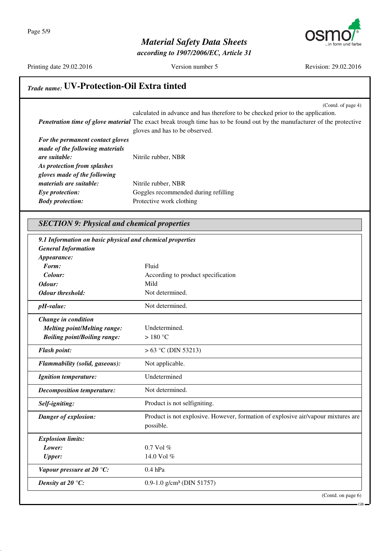

*according to 1907/2006/EC, Article 31*

Printing date 29.02.2016 Version number 5 Revision: 29.02.2016

*Explosion limits:*

### *Trade name:* **UV-Protection-Oil Extra tinted**

(Contd. of page 4) calculated in advance and has therefore to be checked prior to the application. *Penetration time of glove material* The exact break trough time has to be found out by the manufacturer of the protective gloves and has to be observed. *For the permanent contact gloves made of the following materials are suitable:* Nitrile rubber, NBR *As protection from splashes gloves made of the following materials are suitable:* Nitrile rubber, NBR **Eye protection:** Goggles recommended during refilling *Body protection:* Protective work clothing *SECTION 9: Physical and chemical properties 9.1 Information on basic physical and chemical properties General Information Appearance: Form:* Fluid *Colour:* According to product specification *Odour:* Mild *Odour threshold:* Not determined. *pH-value:* Not determined. *Change in condition Melting point/Melting range:* Undetermined. *Boiling point/Boiling range:* > 180 °C *Flash point:*  $> 63 \degree$ C (DIN 53213) *Flammability (solid, gaseous):* Not applicable. *Ignition temperature:* Undetermined *Decomposition temperature:* Not determined. **Self-igniting:** Product is not selfigniting. *Danger of explosion:* Product is not explosive. However, formation of explosive air/vapour mixtures are possible.

*Lower:* 0.7 Vol % *Upper:* 14.0 Vol % *Vapour pressure at 20 °C:* 0.4 hPa *Density at 20 °C:* 0.9-1.0 g/cm<sup>3</sup> (DIN 51757)

(Contd. on page 6)

GB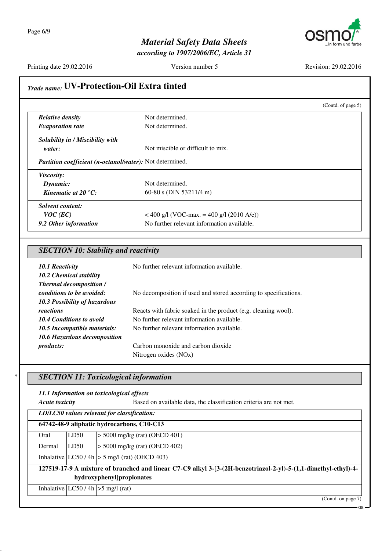

*according to 1907/2006/EC, Article 31*

Printing date 29.02.2016 Version number 5 Revision: 29.02.2016

|                                                             | (Contd. of page 5)                                                                                             |
|-------------------------------------------------------------|----------------------------------------------------------------------------------------------------------------|
| <b>Relative density</b>                                     | Not determined.                                                                                                |
| <b>Evaporation rate</b>                                     | Not determined.                                                                                                |
| Solubility in / Miscibility with                            |                                                                                                                |
| water:                                                      | Not miscible or difficult to mix.                                                                              |
| Partition coefficient (n-octanol/water): Not determined.    |                                                                                                                |
| Viscosity:                                                  |                                                                                                                |
| Dynamic:                                                    | Not determined.                                                                                                |
| Kinematic at 20 $^{\circ}$ C:                               | 60-80 s (DIN 53211/4 m)                                                                                        |
| <b>Solvent content:</b>                                     |                                                                                                                |
| $VOC$ (EC)                                                  | < 400 g/l (VOC-max. = 400 g/l (2010 A/e))                                                                      |
| 9.2 Other information                                       | No further relevant information available.                                                                     |
| <b>SECTION 10: Stability and reactivity</b>                 |                                                                                                                |
|                                                             |                                                                                                                |
| 10.1 Reactivity                                             | No further relevant information available.                                                                     |
| 10.2 Chemical stability                                     |                                                                                                                |
| <b>Thermal decomposition /</b><br>conditions to be avoided: | No decomposition if used and stored according to specifications.                                               |
| 10.3 Possibility of hazardous                               |                                                                                                                |
| reactions                                                   | Reacts with fabric soaked in the product (e.g. cleaning wool).                                                 |
| <b>10.4 Conditions to avoid</b>                             | No further relevant information available.                                                                     |
| 10.5 Incompatible materials:                                | No further relevant information available.                                                                     |
| 10.6 Hazardous decomposition                                |                                                                                                                |
| products:                                                   | Carbon monoxide and carbon dioxide                                                                             |
|                                                             | Nitrogen oxides (NOx)                                                                                          |
| <b>SECTION 11: Toxicological information</b>                |                                                                                                                |
| 11.1 Information on toxicological effects                   |                                                                                                                |
| <b>Acute toxicity</b>                                       | Based on available data, the classification criteria are not met.                                              |
| LD/LC50 values relevant for classification:                 |                                                                                                                |
| 64742-48-9 aliphatic hydrocarbons, C10-C13                  |                                                                                                                |
| LD50<br>Oral                                                | $>$ 5000 mg/kg (rat) (OECD 401)                                                                                |
| LD50<br>Dermal                                              | $> 5000$ mg/kg (rat) (OECD 402)                                                                                |
| Inhalative $ LC50/4h  > 5$ mg/l (rat) (OECD 403)            |                                                                                                                |
|                                                             | 127519-17-9 A mixture of branched and linear C7-C9 alkyl 3-[3-(2H-benzotriazol-2-yl)-5-(1,1-dimethyl-ethyl)-4- |
| hydroxyphenyl]propionates                                   |                                                                                                                |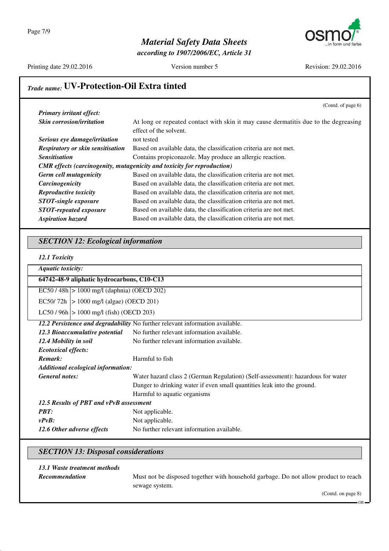

*according to 1907/2006/EC, Article 31*

Printing date 29.02.2016 Version number 5 Revision: 29.02.2016

## *Trade name:* **UV-Protection-Oil Extra tinted**

|                                                             | (Contd. of page 6)                                                                                                          |
|-------------------------------------------------------------|-----------------------------------------------------------------------------------------------------------------------------|
| Primary irritant effect:                                    |                                                                                                                             |
| Skin corrosion/irritation                                   | At long or repeated contact with skin it may cause dermatitis due to the degreasing                                         |
|                                                             | effect of the solvent.                                                                                                      |
| Serious eye damage/irritation                               | not tested                                                                                                                  |
| <b>Respiratory or skin sensitisation</b>                    | Based on available data, the classification criteria are not met.                                                           |
| <b>Sensitisation</b>                                        | Contains propiconazole. May produce an allergic reaction.                                                                   |
|                                                             | CMR effects (carcinogenity, mutagenicity and toxicity for reproduction)                                                     |
| Germ cell mutagenicity                                      | Based on available data, the classification criteria are not met.                                                           |
| Carcinogenicity                                             | Based on available data, the classification criteria are not met.                                                           |
| Reproductive toxicity                                       | Based on available data, the classification criteria are not met.                                                           |
| <b>STOT-single exposure</b>                                 | Based on available data, the classification criteria are not met.                                                           |
| <b>STOT-repeated exposure</b>                               | Based on available data, the classification criteria are not met.                                                           |
| <b>Aspiration hazard</b>                                    | Based on available data, the classification criteria are not met.                                                           |
|                                                             |                                                                                                                             |
| <b>SECTION 12: Ecological information</b>                   |                                                                                                                             |
|                                                             |                                                                                                                             |
| 12.1 Toxicity                                               |                                                                                                                             |
| <b>Aquatic toxicity:</b>                                    |                                                                                                                             |
| 64742-48-9 aliphatic hydrocarbons, C10-C13                  |                                                                                                                             |
| $EC50 / 48h$ > 1000 mg/l (daphnia) (OECD 202)               |                                                                                                                             |
| EC50/72h   > 1000 mg/l (algae) (OECD 201)                   |                                                                                                                             |
| LC50 / 96h $ > 1000$ mg/l (fish) (OECD 203)                 |                                                                                                                             |
|                                                             |                                                                                                                             |
|                                                             | 12.2 Persistence and degradability No further relevant information available.<br>No further relevant information available. |
| 12.3 Bioaccumulative potential                              |                                                                                                                             |
| 12.4 Mobility in soil                                       | No further relevant information available.                                                                                  |
| <b>Ecotoxical effects:</b><br>Remark:                       | Harmful to fish                                                                                                             |
|                                                             |                                                                                                                             |
| Additional ecological information:<br><b>General notes:</b> |                                                                                                                             |
|                                                             | Water hazard class 2 (German Regulation) (Self-assessment): hazardous for water                                             |
|                                                             | Danger to drinking water if even small quantities leak into the ground.                                                     |
|                                                             | Harmful to aquatic organisms                                                                                                |
| 12.5 Results of PBT and vPvB assessment                     |                                                                                                                             |
| PBT:<br>$vPvB$ :                                            | Not applicable.<br>Not applicable.                                                                                          |

#### *SECTION 13: Disposal considerations*

#### *13.1 Waste treatment methods*

**Recommendation** Must not be disposed together with household garbage. Do not allow product to reach sewage system.

(Contd. on page 8)

GB<sub>3</sub>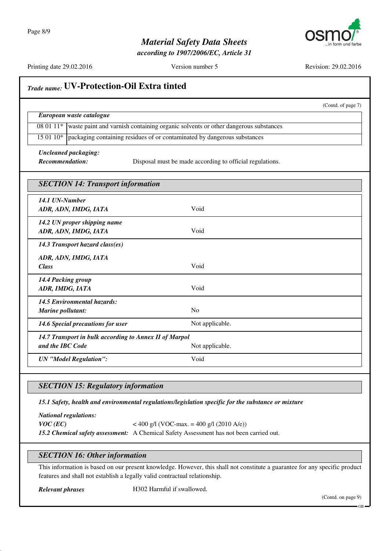

*according to 1907/2006/EC, Article 31*

Printing date 29.02.2016 Version number 5 Revision: 29.02.2016

|                                                        | (Contd. of page 7)                                                                |
|--------------------------------------------------------|-----------------------------------------------------------------------------------|
| European waste catalogue                               |                                                                                   |
| 08 01 11*                                              | waste paint and varnish containing organic solvents or other dangerous substances |
| $150110*$                                              | packaging containing residues of or contaminated by dangerous substances          |
| <b>Uncleaned packaging:</b>                            |                                                                                   |
| <b>Recommendation:</b>                                 | Disposal must be made according to official regulations.                          |
| <b>SECTION 14: Transport information</b>               |                                                                                   |
| 14.1 UN-Number                                         |                                                                                   |
| ADR, ADN, IMDG, IATA                                   | Void                                                                              |
| 14.2 UN proper shipping name                           |                                                                                   |
| ADR, ADN, IMDG, IATA                                   | Void                                                                              |
| 14.3 Transport hazard class(es)                        |                                                                                   |
| ADR, ADN, IMDG, IATA                                   |                                                                                   |
| <b>Class</b>                                           | Void                                                                              |
| 14.4 Packing group                                     |                                                                                   |
| ADR, IMDG, IATA                                        | Void                                                                              |
| 14.5 Environmental hazards:                            |                                                                                   |
| Marine pollutant:                                      | No                                                                                |
| 14.6 Special precautions for user                      | Not applicable.                                                                   |
| 14.7 Transport in bulk according to Annex II of Marpol |                                                                                   |
| and the IBC Code                                       | Not applicable.                                                                   |
| <b>UN</b> "Model Regulation":                          | Void                                                                              |

### *SECTION 15: Regulatory information*

*15.1 Safety, health and environmental regulations/legislation specific for the substance or mixture*

*National regulations: VOC* (*EC*) < 400 g/l (VOC-max. = 400 g/l (2010 A/e)) *15.2 Chemical safety assessment:* A Chemical Safety Assessment has not been carried out.

#### *SECTION 16: Other information*

This information is based on our present knowledge. However, this shall not constitute a guarantee for any specific product features and shall not establish a legally valid contractual relationship.

*Relevant phrases* H302 Harmful if swallowed.

(Contd. on page 9)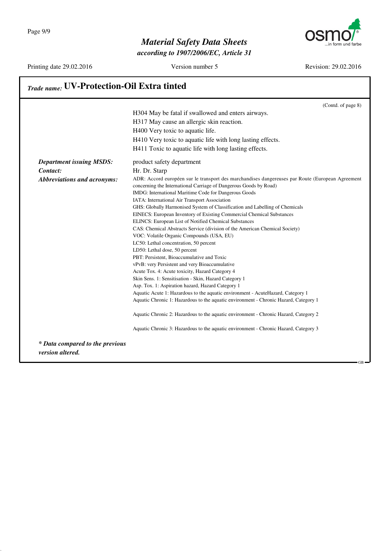*according to 1907/2006/EC, Article 31*



Printing date 29.02.2016 Version number 5 Revision: 29.02.2016

|                                                     | (Contd. of page 8)                                                                                                                                                    |
|-----------------------------------------------------|-----------------------------------------------------------------------------------------------------------------------------------------------------------------------|
|                                                     | H304 May be fatal if swallowed and enters airways.                                                                                                                    |
|                                                     | H317 May cause an allergic skin reaction.                                                                                                                             |
|                                                     | H400 Very toxic to aquatic life.                                                                                                                                      |
|                                                     | H410 Very toxic to aquatic life with long lasting effects.                                                                                                            |
|                                                     | H411 Toxic to aquatic life with long lasting effects.                                                                                                                 |
| <b>Department issuing MSDS:</b>                     | product safety department                                                                                                                                             |
| Contact:                                            | Hr. Dr. Starp                                                                                                                                                         |
| <b>Abbreviations and acronyms:</b>                  | ADR: Accord européen sur le transport des marchandises dangereuses par Route (European Agreement<br>concerning the International Carriage of Dangerous Goods by Road) |
|                                                     | IMDG: International Maritime Code for Dangerous Goods                                                                                                                 |
|                                                     | IATA: International Air Transport Association                                                                                                                         |
|                                                     | GHS: Globally Harmonised System of Classification and Labelling of Chemicals                                                                                          |
|                                                     | EINECS: European Inventory of Existing Commercial Chemical Substances                                                                                                 |
|                                                     | ELINCS: European List of Notified Chemical Substances                                                                                                                 |
|                                                     | CAS: Chemical Abstracts Service (division of the American Chemical Society)                                                                                           |
|                                                     | VOC: Volatile Organic Compounds (USA, EU)                                                                                                                             |
|                                                     | LC50: Lethal concentration, 50 percent                                                                                                                                |
|                                                     | LD50: Lethal dose, 50 percent                                                                                                                                         |
|                                                     | PBT: Persistent, Bioaccumulative and Toxic                                                                                                                            |
|                                                     | vPvB: very Persistent and very Bioaccumulative                                                                                                                        |
|                                                     | Acute Tox. 4: Acute toxicity, Hazard Category 4                                                                                                                       |
|                                                     | Skin Sens. 1: Sensitisation - Skin, Hazard Category 1                                                                                                                 |
|                                                     | Asp. Tox. 1: Aspiration hazard, Hazard Category 1                                                                                                                     |
|                                                     | Aquatic Acute 1: Hazardous to the aquatic environment - AcuteHazard, Category 1                                                                                       |
|                                                     | Aquatic Chronic 1: Hazardous to the aquatic environment - Chronic Hazard, Category 1                                                                                  |
|                                                     | Aquatic Chronic 2: Hazardous to the aquatic environment - Chronic Hazard, Category 2                                                                                  |
|                                                     | Aquatic Chronic 3: Hazardous to the aquatic environment - Chronic Hazard, Category 3                                                                                  |
| * Data compared to the previous<br>version altered. |                                                                                                                                                                       |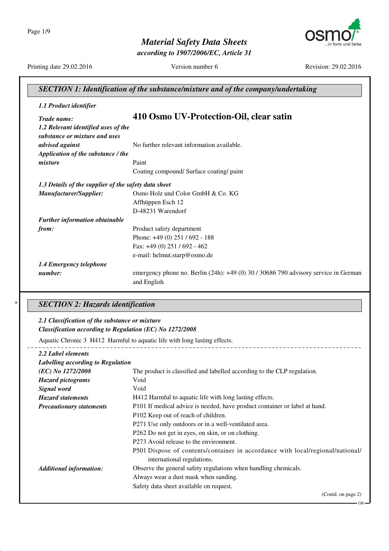Page 1/9



*according to 1907/2006/EC, Article 31*



Printing date 29.02.2016 Version number 6 Revision: 29.02.2016

| 1.1 Product identifier                                   |                                                                                     |
|----------------------------------------------------------|-------------------------------------------------------------------------------------|
| Trade name:                                              | 410 Osmo UV-Protection-Oil, clear satin                                             |
| 1.2 Relevant identified uses of the                      |                                                                                     |
| substance or mixture and uses                            |                                                                                     |
| advised against                                          | No further relevant information available.                                          |
| Application of the substance / the                       |                                                                                     |
| mixture                                                  | Paint                                                                               |
|                                                          | Coating compound/ Surface coating/ paint                                            |
| 1.3 Details of the supplier of the safety data sheet     |                                                                                     |
| Manufacturer/Supplier:                                   | Osmo Holz und Color GmbH & Co. KG                                                   |
|                                                          | Affhüppen Esch 12                                                                   |
|                                                          | D-48231 Warendorf                                                                   |
| Further information obtainable                           |                                                                                     |
| from:                                                    | Product safety department                                                           |
|                                                          | Phone: +49 (0) 251 / 692 - 188                                                      |
|                                                          | Fax: +49 (0) 251 / 692 - 462                                                        |
|                                                          | e-mail: helmut.starp@osmo.de                                                        |
| 1.4 Emergency telephone                                  |                                                                                     |
| number:                                                  | emergency phone no. Berlin (24h): +49 (0) 30 / 30686 790 advisory service in German |
|                                                          | and English                                                                         |
| <b>SECTION 2: Hazards identification</b>                 |                                                                                     |
|                                                          |                                                                                     |
| 2.1 Classification of the substance or mixture           |                                                                                     |
| Classification according to Regulation (EC) No 1272/2008 |                                                                                     |
|                                                          | Aquatic Chronic 3 H412 Harmful to aquatic life with long lasting effects.           |
| 2.2 Label elements                                       |                                                                                     |
| Labelling according to Regulation                        |                                                                                     |
| (EC) No 1272/2008                                        | The product is classified and labelled according to the CLP regulation.             |
| <b>Hazard</b> pictograms                                 | Void                                                                                |
| Signal word                                              | Void                                                                                |
| <b>Hazard statements</b>                                 | H412 Harmful to aquatic life with long lasting effects.                             |
| <b>Precautionary statements</b>                          | P101 If medical advice is needed, have product container or label at hand.          |
|                                                          | P102 Keep out of reach of children.                                                 |
|                                                          | P271 Use only outdoors or in a well-ventilated area.                                |
|                                                          | P262 Do not get in eyes, on skin, or on clothing.                                   |

P501 Dispose of contents/container in accordance with local/regional/national/ international regulations.

*Additional information:* Observe the general safety regulations when handling chemicals.

Always wear a dust mask when sanding.

Safety data sheet available on request.

(Contd. on page 2)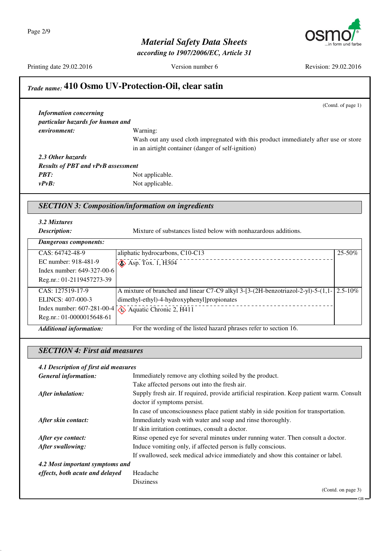Page 2/9



*according to 1907/2006/EC, Article 31*



Printing date 29.02.2016 Version number 6 Revision: 29.02.2016

GB

### *Trade name:* **410 Osmo UV-Protection-Oil, clear satin**

(Contd. of page 1) *Information concerning particular hazards for human and environment:* Warning: Wash out any used cloth impregnated with this product immediately after use or store in an airtight container (danger of self-ignition) *2.3 Other hazards Results of PBT and vPvB assessment PBT:* Not applicable. *vPvB:* Not applicable. *SECTION 3: Composition/information on ingredients 3.2 Mixtures Description:* Mixture of substances listed below with nonhazardous additions. *Dangerous components:* CAS: 64742-48-9 EC number: 918-481-9 Index number: 649-327-00-6 Reg.nr.: 01-2119457273-39 aliphatic hydrocarbons, C10-C13  $\bigotimes$  Asp. Tox. 1, H304 25-50% CAS: 127519-17-9 ELINCS: 407-000-3 A mixture of branched and linear C7-C9 alkyl 3-[3-(2H-benzotriazol-2-yl)-5-(1,1- 2.5-10% dimethyl-ethyl)-4-hydroxyphenyl]propionates

Index number: 607-281-00-4 Reg.nr.: 01-0000015648-61

*Additional information:* For the wording of the listed hazard phrases refer to section 16.

 $\leftrightarrow$  Aquatic Chronic 2, H411

#### *SECTION 4: First aid measures*

*4.1 Description of first aid measures General information:* Immediately remove any clothing soiled by the product.

| General information:            | Immediately remove any clouding solied by the product.                                    |
|---------------------------------|-------------------------------------------------------------------------------------------|
|                                 | Take affected persons out into the fresh air.                                             |
| After inhalation:               | Supply fresh air. If required, provide artificial respiration. Keep patient warm. Consult |
|                                 | doctor if symptoms persist.                                                               |
|                                 | In case of unconsciousness place patient stably in side position for transportation.      |
| After skin contact:             | Immediately wash with water and soap and rinse thoroughly.                                |
|                                 | If skin irritation continues, consult a doctor.                                           |
| After eye contact:              | Rinse opened eye for several minutes under running water. Then consult a doctor.          |
| After swallowing:               | Induce vomiting only, if affected person is fully conscious.                              |
|                                 | If swallowed, seek medical advice immediately and show this container or label.           |
| 4.2 Most important symptoms and |                                                                                           |
| effects, both acute and delayed | Headache                                                                                  |
|                                 | <b>Disziness</b>                                                                          |
|                                 | (Contd. on page 3)                                                                        |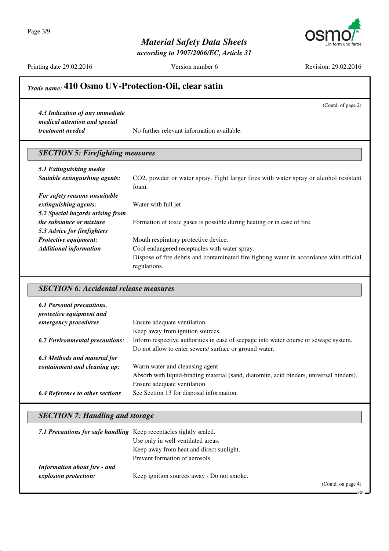Page 3/9



*according to 1907/2006/EC, Article 31*

Printing date 29.02.2016 Version number 6 Revision: 29.02.2016

(Contd. of page 2)

in form und farbe

## *Trade name:* **410 Osmo UV-Protection-Oil, clear satin**

*4.3 Indication of any immediate medical attention and special*

*treatment needed* No further relevant information available.

### *SECTION 5: Firefighting measures*

| 5.1 Extinguishing media          |                                                                                         |
|----------------------------------|-----------------------------------------------------------------------------------------|
| Suitable extinguishing agents:   | CO2, powder or water spray. Fight larger fires with water spray or alcohol resistant    |
|                                  | foam.                                                                                   |
| For safety reasons unsuitable    |                                                                                         |
| extinguishing agents:            | Water with full jet                                                                     |
| 5.2 Special hazards arising from |                                                                                         |
| <i>the substance or mixture</i>  | Formation of toxic gases is possible during heating or in case of fire.                 |
| 5.3 Advice for firefighters      |                                                                                         |
| <b>Protective equipment:</b>     | Mouth respiratory protective device.                                                    |
| <b>Additional information</b>    | Cool endangered receptacles with water spray.                                           |
|                                  | Dispose of fire debris and contaminated fire fighting water in accordance with official |
|                                  | regulations.                                                                            |

#### *SECTION 6: Accidental release measures*

| 6.1 Personal precautions,<br>protective equipment and |                                                                                         |
|-------------------------------------------------------|-----------------------------------------------------------------------------------------|
| emergency procedures                                  | Ensure adequate ventilation                                                             |
|                                                       | Keep away from ignition sources.                                                        |
| <b>6.2 Environmental precautions:</b>                 | Inform respective authorities in case of seepage into water course or sewage system.    |
|                                                       | Do not allow to enter sewers/ surface or ground water.                                  |
| 6.3 Methods and material for                          |                                                                                         |
| containment and cleaning up:                          | Warm water and cleansing agent                                                          |
|                                                       | Absorb with liquid-binding material (sand, diatomite, acid binders, universal binders). |
|                                                       | Ensure adequate ventilation.                                                            |
| <b>6.4 Reference to other sections</b>                | See Section 13 for disposal information.                                                |

#### *SECTION 7: Handling and storage*

| 7.1 Precautions for safe handling Keep receptacles tightly sealed. |                                            |                   |
|--------------------------------------------------------------------|--------------------------------------------|-------------------|
|                                                                    | Use only in well ventilated areas.         |                   |
|                                                                    | Keep away from heat and direct sunlight.   |                   |
|                                                                    | Prevent formation of aerosols.             |                   |
| <b>Information about fire - and</b>                                |                                            |                   |
| explosion protection:                                              | Keep ignition sources away - Do not smoke. |                   |
|                                                                    |                                            | (Cond. on page 4) |

GB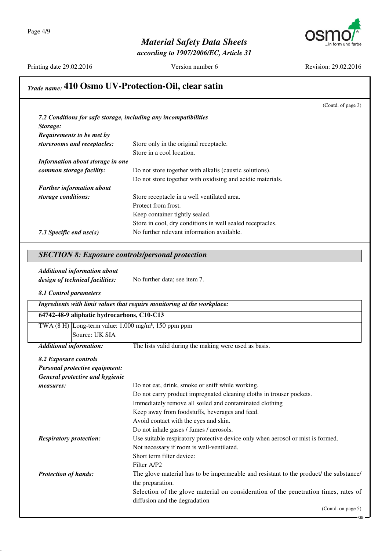

*according to 1907/2006/EC, Article 31*

Printing date 29.02.2016 Version number 6 Revision: 29.02.2016

## *Trade name:* **410 Osmo UV-Protection-Oil, clear satin**

|                                                                            | (Contd. of page 3)                                                              |  |
|----------------------------------------------------------------------------|---------------------------------------------------------------------------------|--|
|                                                                            |                                                                                 |  |
| 7.2 Conditions for safe storage, including any incompatibilities           |                                                                                 |  |
| Storage:                                                                   |                                                                                 |  |
| Requirements to be met by                                                  |                                                                                 |  |
| storerooms and receptacles:                                                | Store only in the original receptacle.                                          |  |
|                                                                            | Store in a cool location.                                                       |  |
| Information about storage in one                                           |                                                                                 |  |
| common storage facility:                                                   | Do not store together with alkalis (caustic solutions).                         |  |
|                                                                            | Do not store together with oxidising and acidic materials.                      |  |
| <b>Further information about</b>                                           |                                                                                 |  |
| storage conditions:                                                        | Store receptacle in a well ventilated area.                                     |  |
|                                                                            | Protect from frost.                                                             |  |
|                                                                            | Keep container tightly sealed.                                                  |  |
|                                                                            | Store in cool, dry conditions in well sealed receptacles.                       |  |
| 7.3 Specific end use(s)                                                    | No further relevant information available.                                      |  |
|                                                                            |                                                                                 |  |
| <b>SECTION 8: Exposure controls/personal protection</b>                    |                                                                                 |  |
| <b>Additional information about</b>                                        |                                                                                 |  |
| design of technical facilities:                                            | No further data; see item 7.                                                    |  |
| 8.1 Control parameters                                                     |                                                                                 |  |
|                                                                            | Ingredients with limit values that require monitoring at the workplace:         |  |
| 64742-48-9 aliphatic hydrocarbons, C10-C13                                 |                                                                                 |  |
| TWA $(8 \text{ H})$ Long-term value: 1.000 mg/m <sup>3</sup> , 150 ppm ppm |                                                                                 |  |
| Source: UK SIA                                                             |                                                                                 |  |
| <b>Additional information:</b>                                             | The lists valid during the making were used as basis.                           |  |
| 8.2 Exposure controls                                                      |                                                                                 |  |
| Personal protective equipment:                                             |                                                                                 |  |
| General protective and hygienic                                            |                                                                                 |  |
| measures:                                                                  | Do not eat, drink, smoke or sniff while working.                                |  |
|                                                                            | Do not carry product impregnated cleaning cloths in trouser pockets.            |  |
|                                                                            | Immediately remove all soiled and contaminated clothing                         |  |
|                                                                            | Keep away from foodstuffs, beverages and feed.                                  |  |
|                                                                            | Avoid contact with the eyes and skin.                                           |  |
|                                                                            | Do not inhale gases / fumes / aerosols.                                         |  |
| <b>Respiratory protection:</b>                                             | Use suitable respiratory protective device only when aerosol or mist is formed. |  |
|                                                                            | Not necessary if room is well-ventilated.                                       |  |
|                                                                            | Short term filter device:                                                       |  |
|                                                                            | Filter A/P2                                                                     |  |

<sup>(</sup>Contd. on page 5)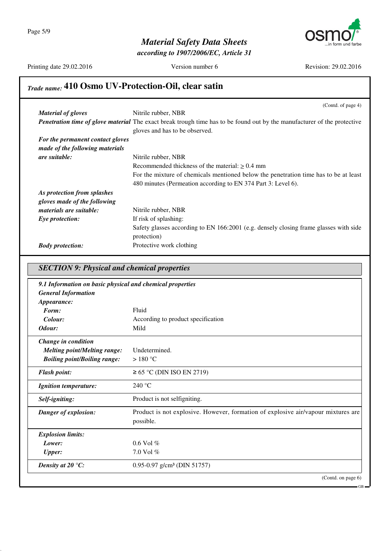

*according to 1907/2006/EC, Article 31*

Printing date 29.02.2016 Version number 6 Revision: 29.02.2016

# *Trade name:* **410 Osmo UV-Protection-Oil, clear satin**

|                                  | (Contd. of page 4)                                                                                                              |
|----------------------------------|---------------------------------------------------------------------------------------------------------------------------------|
| <b>Material of gloves</b>        | Nitrile rubber, NBR                                                                                                             |
|                                  | <b>Penetration time of glove material</b> The exact break trough time has to be found out by the manufacturer of the protective |
|                                  | gloves and has to be observed.                                                                                                  |
| For the permanent contact gloves |                                                                                                                                 |
| made of the following materials  |                                                                                                                                 |
| <i>are suitable:</i>             | Nitrile rubber, NBR                                                                                                             |
|                                  | Recommended thickness of the material: $> 0.4$ mm                                                                               |
|                                  | For the mixture of chemicals mentioned below the penetration time has to be at least                                            |
|                                  | 480 minutes (Permeation according to EN 374 Part 3: Level 6).                                                                   |
| As protection from splashes      |                                                                                                                                 |
| gloves made of the following     |                                                                                                                                 |
| <i>materials are suitable:</i>   | Nitrile rubber, NBR                                                                                                             |
| Eye protection:                  | If risk of splashing:                                                                                                           |
|                                  | Safety glasses according to EN 166:2001 (e.g. densely closing frame glasses with side                                           |
|                                  | protection)                                                                                                                     |
| <b>Body protection:</b>          | Protective work clothing                                                                                                        |

#### *SECTION 9: Physical and chemical properties*

| 9.1 Information on basic physical and chemical properties |                                                                                   |
|-----------------------------------------------------------|-----------------------------------------------------------------------------------|
| <b>General Information</b>                                |                                                                                   |
| Appearance:                                               |                                                                                   |
| Form:                                                     | Fluid                                                                             |
| Colour:                                                   | According to product specification                                                |
| Odour:                                                    | Mild                                                                              |
| Change in condition                                       |                                                                                   |
| <b>Melting point/Melting range:</b>                       | Undetermined.                                                                     |
| <b>Boiling point/Boiling range:</b>                       | $>180^{\circ}$ C                                                                  |
| <b>Flash point:</b>                                       | $\geq$ 65 °C (DIN ISO EN 2719)                                                    |
| <b>Ignition temperature:</b>                              | 240 °C                                                                            |
| Self-igniting:                                            | Product is not selfigniting.                                                      |
| Danger of explosion:                                      | Product is not explosive. However, formation of explosive air/vapour mixtures are |
|                                                           | possible.                                                                         |
| <b>Explosion limits:</b>                                  |                                                                                   |
| Lower:                                                    | $0.6$ Vol $%$                                                                     |
| <b>Upper:</b>                                             | 7.0 Vol $%$                                                                       |
| Density at 20 $\mathrm{C}$ :                              | 0.95-0.97 g/cm <sup>3</sup> (DIN 51757)                                           |
|                                                           | (Contd. on page 6)                                                                |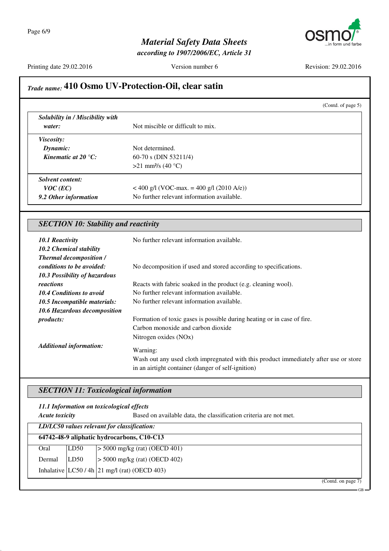

*according to 1907/2006/EC, Article 31*

Printing date 29.02.2016 Version number 6 Revision: 29.02.2016

## *Trade name:* **410 Osmo UV-Protection-Oil, clear satin**

|                                              | (Contd. of page 5)                                                                                            |  |
|----------------------------------------------|---------------------------------------------------------------------------------------------------------------|--|
| Solubility in / Miscibility with             |                                                                                                               |  |
| water:                                       | Not miscible or difficult to mix.                                                                             |  |
| <i>Viscosity:</i>                            |                                                                                                               |  |
| Dynamic:                                     | Not determined.                                                                                               |  |
| Kinematic at 20 $^{\circ}C$ :                | 60-70 s (DIN 53211/4)                                                                                         |  |
|                                              | >21 mm <sup>2</sup> /s (40 °C)                                                                                |  |
| <b>Solvent content:</b>                      |                                                                                                               |  |
| $VOC$ (EC)                                   | < 400 g/l (VOC-max. = 400 g/l (2010 A/e))                                                                     |  |
| 9.2 Other information                        | No further relevant information available.                                                                    |  |
| <b>SECTION 10: Stability and reactivity</b>  |                                                                                                               |  |
|                                              |                                                                                                               |  |
| <b>10.1 Reactivity</b>                       | No further relevant information available.                                                                    |  |
| 10.2 Chemical stability                      |                                                                                                               |  |
| <b>Thermal decomposition /</b>               |                                                                                                               |  |
| conditions to be avoided:                    | No decomposition if used and stored according to specifications.                                              |  |
| 10.3 Possibility of hazardous                |                                                                                                               |  |
| reactions<br><b>10.4 Conditions to avoid</b> | Reacts with fabric soaked in the product (e.g. cleaning wool).<br>No further relevant information available.  |  |
|                                              | No further relevant information available.                                                                    |  |
| 10.5 Incompatible materials:                 |                                                                                                               |  |
| 10.6 Hazardous decomposition<br>products:    |                                                                                                               |  |
|                                              | Formation of toxic gases is possible during heating or in case of fire.<br>Carbon monoxide and carbon dioxide |  |

*Additional information:* Warning:

Wash out any used cloth impregnated with this product immediately after use or store in an airtight container (danger of self-ignition)

#### *SECTION 11: Toxicological information*

*11.1 Information on toxicological effects*

*Acute toxicity* Based on available data, the classification criteria are not met.

|        |      | LD/LC50 values relevant for classification:    |
|--------|------|------------------------------------------------|
|        |      | 64742-48-9 aliphatic hydrocarbons, C10-C13     |
| Oral   | LD50 | $\geq$ 5000 mg/kg (rat) (OECD 401)             |
| Dermal | LD50 | $> 5000$ mg/kg (rat) (OECD 402)                |
|        |      | Inhalative $ LC50/4h 21$ mg/l (rat) (OECD 403) |

(Contd. on page 7)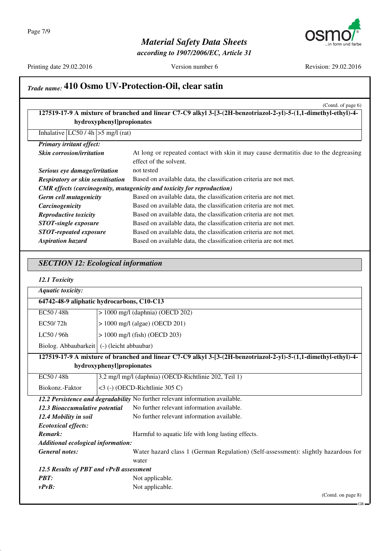

*according to 1907/2006/EC, Article 31*

Printing date 29.02.2016 Version number 6 Revision: 29.02.2016

# *Trade name:* **410 Osmo UV-Protection-Oil, clear satin**

|                                              |                           | (Contd. of page 6)<br>127519-17-9 A mixture of branched and linear C7-C9 alkyl 3-[3-(2H-benzotriazol-2-yl)-5-(1,1-dimethyl-ethyl)-4- |
|----------------------------------------------|---------------------------|--------------------------------------------------------------------------------------------------------------------------------------|
|                                              | hydroxyphenyl]propionates |                                                                                                                                      |
| Inhalative $ LC50/4h  > 5$ mg/l (rat)        |                           |                                                                                                                                      |
| Primary irritant effect:                     |                           |                                                                                                                                      |
| Skin corrosion/irritation                    |                           | At long or repeated contact with skin it may cause dermatitis due to the degreasing                                                  |
|                                              |                           | effect of the solvent.                                                                                                               |
| Serious eye damage/irritation                |                           | not tested                                                                                                                           |
| <b>Respiratory or skin sensitisation</b>     |                           | Based on available data, the classification criteria are not met.                                                                    |
|                                              |                           | CMR effects (carcinogenity, mutagenicity and toxicity for reproduction)                                                              |
| Germ cell mutagenicity                       |                           | Based on available data, the classification criteria are not met.                                                                    |
| Carcinogenicity                              |                           | Based on available data, the classification criteria are not met.                                                                    |
| Reproductive toxicity                        |                           | Based on available data, the classification criteria are not met.                                                                    |
| <b>STOT-single exposure</b>                  |                           | Based on available data, the classification criteria are not met.                                                                    |
| <b>STOT-repeated exposure</b>                |                           | Based on available data, the classification criteria are not met.                                                                    |
| <b>Aspiration hazard</b>                     |                           | Based on available data, the classification criteria are not met.                                                                    |
| <b>SECTION 12: Ecological information</b>    |                           |                                                                                                                                      |
|                                              |                           |                                                                                                                                      |
| 12.1 Toxicity                                |                           |                                                                                                                                      |
| <b>Aquatic toxicity:</b>                     |                           |                                                                                                                                      |
| 64742-48-9 aliphatic hydrocarbons, C10-C13   |                           |                                                                                                                                      |
| EC50/48h                                     |                           | $> 1000$ mg/l (daphnia) (OECD 202)                                                                                                   |
| EC50/72h                                     |                           | > 1000 mg/l (algae) (OECD 201)                                                                                                       |
| LC50 / 96h                                   |                           | $> 1000$ mg/l (fish) (OECD 203)                                                                                                      |
| Biolog. Abbaubarkeit   (-) (leicht abbaubar) |                           |                                                                                                                                      |
|                                              |                           |                                                                                                                                      |
|                                              |                           |                                                                                                                                      |
|                                              | hydroxyphenyl]propionates | 127519-17-9 A mixture of branched and linear C7-C9 alkyl 3-[3-(2H-benzotriazol-2-yl)-5-(1,1-dimethyl-ethyl)-4-                       |
| EC50/48h                                     |                           | 3.2 mg/l mg/l (daphnia) (OECD-Richtlinie 202, Teil 1)                                                                                |
| Biokonz.-Faktor                              |                           | <3 (-) (OECD-Richtlinie 305 C)                                                                                                       |
|                                              |                           | 12.2 Persistence and degradability No further relevant information available.                                                        |
| 12.3 Bioaccumulative potential               |                           | No further relevant information available.                                                                                           |
| 12.4 Mobility in soil                        |                           | No further relevant information available.                                                                                           |
| <b>Ecotoxical effects:</b>                   |                           |                                                                                                                                      |
| Remark:                                      |                           | Harmful to aquatic life with long lasting effects.                                                                                   |
| <b>Additional ecological information:</b>    |                           |                                                                                                                                      |
| <b>General notes:</b>                        |                           |                                                                                                                                      |
|                                              |                           | water                                                                                                                                |
| 12.5 Results of PBT and vPvB assessment      |                           |                                                                                                                                      |
| <b>PBT:</b><br>$vPvB$ :                      |                           | Water hazard class 1 (German Regulation) (Self-assessment): slightly hazardous for<br>Not applicable.<br>Not applicable.             |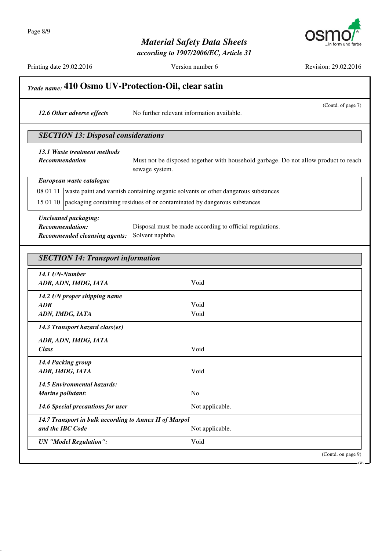

*according to 1907/2006/EC, Article 31*

Printing date 29.02.2016 Version number 6 Revision: 29.02.2016

| 12.6 Other adverse effects                                                                    |                                            | (Contd. of page 7)<br>No further relevant information available.                                      |
|-----------------------------------------------------------------------------------------------|--------------------------------------------|-------------------------------------------------------------------------------------------------------|
|                                                                                               | <b>SECTION 13: Disposal considerations</b> |                                                                                                       |
| 13.1 Waste treatment methods<br>Recommendation                                                |                                            | Must not be disposed together with household garbage. Do not allow product to reach<br>sewage system. |
|                                                                                               | European waste catalogue                   |                                                                                                       |
| 08 01 11                                                                                      |                                            | waste paint and varnish containing organic solvents or other dangerous substances                     |
| 15 01 10                                                                                      |                                            | packaging containing residues of or contaminated by dangerous substances                              |
| <b>Uncleaned packaging:</b><br><b>Recommendation:</b><br><b>Recommended cleansing agents:</b> |                                            | Disposal must be made according to official regulations.<br>Solvent naphtha                           |
|                                                                                               | <b>SECTION 14: Transport information</b>   |                                                                                                       |
| 14.1 UN-Number<br>ADR, ADN, IMDG, IATA                                                        |                                            | Void                                                                                                  |
| <b>ADR</b>                                                                                    | 14.2 UN proper shipping name               | Void                                                                                                  |
| ADN, IMDG, IATA                                                                               |                                            | Void                                                                                                  |
|                                                                                               | 14.3 Transport hazard class(es)            |                                                                                                       |
| ADR, ADN, IMDG, IATA<br><b>Class</b>                                                          |                                            | Void                                                                                                  |
| 14.4 Packing group<br>ADR, IMDG, IATA                                                         |                                            | Void                                                                                                  |
| Marine pollutant:                                                                             | 14.5 Environmental hazards:                | N <sub>o</sub>                                                                                        |
|                                                                                               | 14.6 Special precautions for user          | Not applicable.                                                                                       |
|                                                                                               |                                            | 14.7 Transport in bulk according to Annex II of Marpol<br>Not applicable.                             |
| and the IBC Code                                                                              |                                            |                                                                                                       |
| <b>UN</b> "Model Regulation":                                                                 |                                            | Void                                                                                                  |